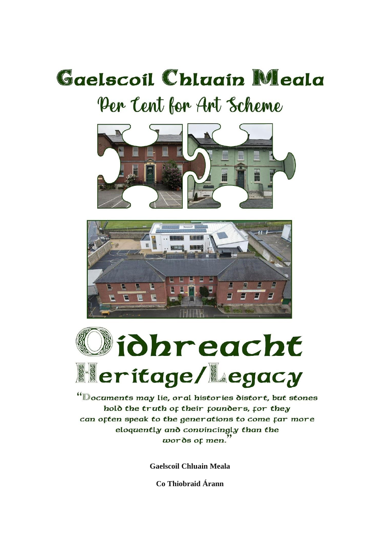# Gaelscoil Chlaain Meala Per Cent for Art Scheme







"Documents may lie, oral histories distort, but stones hold the truth of their founders, for they can often speak to the generations to come far more eloquently and convincingly than the  $words$  or men.

**Gaelscoil Chluain Meala** 

Co Thiobraid Árann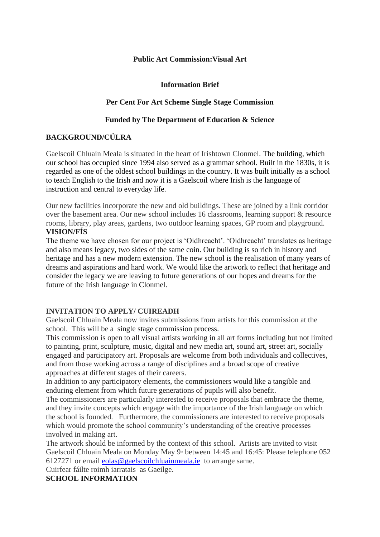#### **Public Art Commission:Visual Art**

#### **Information Brief**

#### **Per Cent For Art Scheme Single Stage Commission**

#### **Funded by The Department of Education & Science**

## **BACKGROUND/CÚLRA**

Gaelscoil Chluain Meala is situated in the heart of Irishtown Clonmel. The building, which our school has occupied since 1994 also served as a grammar school. Built in the 1830s, it is regarded as one of the oldest school buildings in the country. It was built initially as a school to teach English to the Irish and now it is a Gaelscoil where Irish is the language of instruction and central to everyday life.

Our new facilities incorporate the new and old buildings. These are joined by a link corridor over the basement area. Our new school includes 16 classrooms, learning support & resource rooms, library, play areas, gardens, two outdoor learning spaces, GP room and playground. **VISION/FÍS**

The theme we have chosen for our project is 'Oidhreacht'. 'Oidhreacht' translates as heritage and also means legacy, two sides of the same coin. Our building is so rich in history and heritage and has a new modern extension. The new school is the realisation of many years of dreams and aspirations and hard work. We would like the artwork to reflect that heritage and consider the legacy we are leaving to future generations of our hopes and dreams for the future of the Irish language in Clonmel.

## **INVITATION TO APPLY/ CUIREADH**

Gaelscoil Chluain Meala now invites submissions from artists for this commission at the school. This will be a single stage commission process.

This commission is open to all visual artists working in all art forms including but not limited to painting, print, sculpture, music, digital and new media art, sound art, street art, socially engaged and participatory art. Proposals are welcome from both individuals and collectives, and from those working across a range of disciplines and a broad scope of creative approaches at different stages of their careers.

In addition to any participatory elements, the commissioners would like a tangible and enduring element from which future generations of pupils will also benefit.

The commissioners are particularly interested to receive proposals that embrace the theme, and they invite concepts which engage with the importance of the Irish language on which the school is founded. Furthermore, the commissioners are interested to receive proposals which would promote the school community's understanding of the creative processes involved in making art.

The artwork should be informed by the context of this school. Artists are invited to visit Gaelscoil Chluain Meala on Monday May 9<sup>th</sup> between 14:45 and 16:45: Please telephone 052 6127271 or email [eolas@gaelscoilchluainmeala.ie](mailto:eolas@gaelscoilchluainmeala.ie) to arrange same.

Cuirfear fáilte roimh iarratais as Gaeilge.

#### **SCHOOL INFORMATION**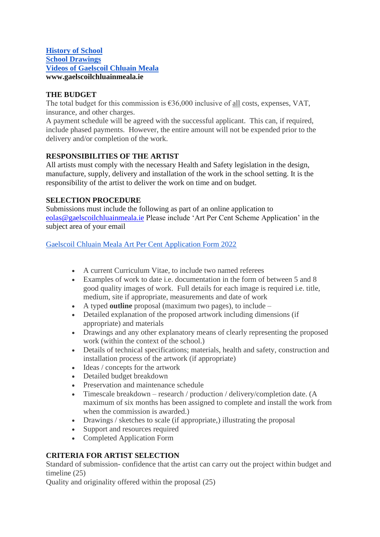### **[History of School](https://drive.google.com/drive/folders/1DfJbPmZRimC1CdnXLsw4oP9ZuLcZBAwQ?usp=sharing) [School Drawings](https://drive.google.com/drive/folders/1E57YknPbtiZAMzueS4jJ7Nt4VQzlq-pF?usp=sharing) [Videos of Gaelscoil Chluain Meala](https://drive.google.com/drive/folders/1gZLTNw0Ly7NThCvv6ZJuepmkkxTMTCAm?usp=sharing) www.gaelscoilchluainmeala.ie**

## **THE BUDGET**

The total budget for this commission is  $636,000$  inclusive of all costs, expenses, VAT, insurance, and other charges.

A payment schedule will be agreed with the successful applicant. This can, if required, include phased payments. However, the entire amount will not be expended prior to the delivery and/or completion of the work.

## **RESPONSIBILITIES OF THE ARTIST**

All artists must comply with the necessary Health and Safety legislation in the design, manufacture, supply, delivery and installation of the work in the school setting. It is the responsibility of the artist to deliver the work on time and on budget.

# **SELECTION PROCEDURE**

Submissions must include the following as part of an online application to [eolas@gaelscoilchluainmeala.ie](mailto:eolas@gaelscoilchluainmeala.ie) Please include 'Art Per Cent Scheme Application' in the subject area of your email

[Gaelscoil Chluain Meala Art Per Cent Application Form 2022](https://docs.google.com/document/d/14pEt1ZBvo7LGAaJKVMa3fuwJCrw3v6Cr1IsJjTPHaAI/edit?usp=sharing)

- A current Curriculum Vitae, to include two named referees
- Examples of work to date i.e. documentation in the form of between 5 and 8 good quality images of work. Full details for each image is required i.e. title, medium, site if appropriate, measurements and date of work
- A typed **outline** proposal (maximum two pages), to include –
- Detailed explanation of the proposed artwork including dimensions (if appropriate) and materials
- Drawings and any other explanatory means of clearly representing the proposed work (within the context of the school.)
- Details of technical specifications; materials, health and safety, construction and installation process of the artwork (if appropriate)
- Ideas / concepts for the artwork
- Detailed budget breakdown
- Preservation and maintenance schedule
- Timescale breakdown research / production / delivery/completion date. (A maximum of six months has been assigned to complete and install the work from when the commission is awarded.)
- Drawings / sketches to scale (if appropriate,) illustrating the proposal
- Support and resources required
- Completed Application Form

# **CRITERIA FOR ARTIST SELECTION**

Standard of submission- confidence that the artist can carry out the project within budget and timeline (25)

Quality and originality offered within the proposal (25)